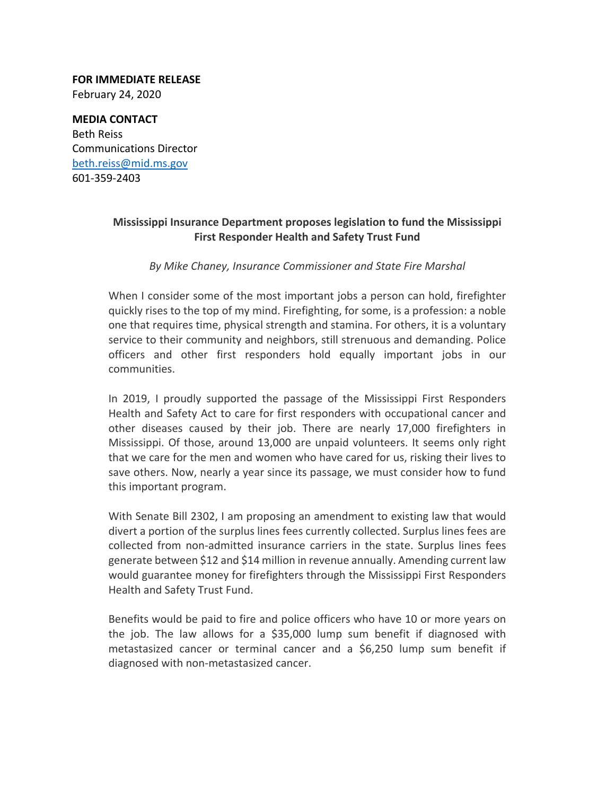**FOR IMMEDIATE RELEASE** February 24, 2020

**MEDIA CONTACT** Beth Reiss Communications Director beth.reiss@mid.ms.gov 601‐359‐2403

## **Mississippi Insurance Department proposes legislation to fund the Mississippi First Responder Health and Safety Trust Fund**

## *By Mike Chaney, Insurance Commissioner and State Fire Marshal*

When I consider some of the most important jobs a person can hold, firefighter quickly rises to the top of my mind. Firefighting, for some, is a profession: a noble one that requires time, physical strength and stamina. For others, it is a voluntary service to their community and neighbors, still strenuous and demanding. Police officers and other first responders hold equally important jobs in our communities.

In 2019, I proudly supported the passage of the Mississippi First Responders Health and Safety Act to care for first responders with occupational cancer and other diseases caused by their job. There are nearly 17,000 firefighters in Mississippi. Of those, around 13,000 are unpaid volunteers. It seems only right that we care for the men and women who have cared for us, risking their lives to save others. Now, nearly a year since its passage, we must consider how to fund this important program.

With Senate Bill 2302, I am proposing an amendment to existing law that would divert a portion of the surplus lines fees currently collected. Surplus lines fees are collected from non‐admitted insurance carriers in the state. Surplus lines fees generate between \$12 and \$14 million in revenue annually. Amending current law would guarantee money for firefighters through the Mississippi First Responders Health and Safety Trust Fund.

Benefits would be paid to fire and police officers who have 10 or more years on the job. The law allows for a \$35,000 lump sum benefit if diagnosed with metastasized cancer or terminal cancer and a \$6,250 lump sum benefit if diagnosed with non‐metastasized cancer.